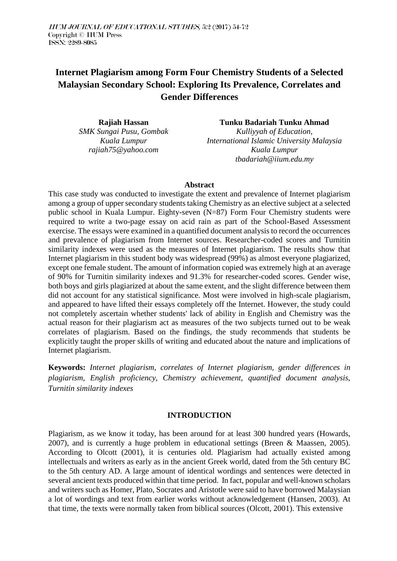# **Internet Plagiarism among Form Four Chemistry Students of a Selected Malaysian Secondary School: Exploring Its Prevalence, Correlates and Gender Differences**

**Rajiah Hassan** *SMK Sungai Pusu, Gombak Kuala Lumpur rajiah75@yahoo.com*

**Tunku Badariah Tunku Ahmad** *Kulliyyah of Education, International Islamic University Malaysia Kuala Lumpur tbadariah@iium.edu.my*

### **Abstract**

This case study was conducted to investigate the extent and prevalence of Internet plagiarism among a group of upper secondary students taking Chemistry as an elective subject at a selected public school in Kuala Lumpur. Eighty-seven (N=87) Form Four Chemistry students were required to write a two-page essay on acid rain as part of the School-Based Assessment exercise. The essays were examined in a quantified document analysis to record the occurrences and prevalence of plagiarism from Internet sources. Researcher-coded scores and Turnitin similarity indexes were used as the measures of Internet plagiarism. The results show that Internet plagiarism in this student body was widespread (99%) as almost everyone plagiarized, except one female student. The amount of information copied was extremely high at an average of 90% for Turnitin similarity indexes and 91.3% for researcher-coded scores. Gender wise, both boys and girls plagiarized at about the same extent, and the slight difference between them did not account for any statistical significance. Most were involved in high-scale plagiarism, and appeared to have lifted their essays completely off the Internet. However, the study could not completely ascertain whether students' lack of ability in English and Chemistry was the actual reason for their plagiarism act as measures of the two subjects turned out to be weak correlates of plagiarism. Based on the findings, the study recommends that students be explicitly taught the proper skills of writing and educated about the nature and implications of Internet plagiarism.

**Keywords:** *Internet plagiarism, correlates of Internet plagiarism, gender differences in plagiarism, English proficiency, Chemistry achievement, quantified document analysis, Turnitin similarity indexes*

### **INTRODUCTION**

Plagiarism, as we know it today, has been around for at least 300 hundred years (Howards, 2007), and is currently a huge problem in educational settings (Breen & Maassen, 2005). According to Olcott (2001), it is centuries old. Plagiarism had actually existed among intellectuals and writers as early as in the ancient Greek world, dated from the 5th century BC to the 5th century AD. A large amount of identical wordings and sentences were detected in several ancient texts produced within that time period. In fact, popular and well-known scholars and writers such as Homer, Plato, Socrates and Aristotle were said to have borrowed Malaysian a lot of wordings and text from earlier works without acknowledgement (Hansen, 2003). At that time, the texts were normally taken from biblical sources (Olcott, 2001). This extensive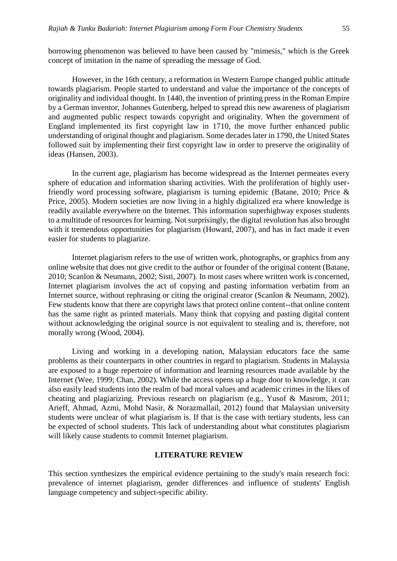borrowing phenomenon was believed to have been caused by "mimesis," which is the Greek concept of imitation in the name of spreading the message of God.

However, in the 16th century, a reformation in Western Europe changed public attitude towards plagiarism. People started to understand and value the importance of the concepts of originality and individual thought. In 1440, the invention of printing press in the Roman Empire by a German inventor, Johannes Gutenberg, helped to spread this new awareness of plagiarism and augmented public respect towards copyright and originality. When the government of England implemented its first copyright law in 1710, the move further enhanced public understanding of original thought and plagiarism. Some decades later in 1790, the United States followed suit by implementing their first copyright law in order to preserve the originality of ideas (Hansen, 2003).

In the current age, plagiarism has become widespread as the Internet permeates every sphere of education and information sharing activities. With the proliferation of highly userfriendly word processing software, plagiarism is turning epidemic (Batane, 2010; Price & Price, 2005). Modern societies are now living in a highly digitalized era where knowledge is readily available everywhere on the Internet. This information superhighway exposes students to a multitude of resources for learning. Not surprisingly, the digital revolution has also brought with it tremendous opportunities for plagiarism (Howard, 2007), and has in fact made it even easier for students to plagiarize.

Internet plagiarism refers to the use of written work, photographs, or graphics from any online website that does not give credit to the author or founder of the original content (Batane, 2010; Scanlon & Neumann, 2002; Sisti, 2007). In most cases where written work is concerned, Internet plagiarism involves the act of copying and pasting information verbatim from an Internet source, without rephrasing or citing the original creator (Scanlon & Neumann, 2002). Few students know that there are copyright laws that protect online content--that online content has the same right as printed materials. Many think that copying and pasting digital content without acknowledging the original source is not equivalent to stealing and is, therefore, not morally wrong (Wood, 2004).

Living and working in a developing nation, Malaysian educators face the same problems as their counterparts in other countries in regard to plagiarism. Students in Malaysia are exposed to a huge repertoire of information and learning resources made available by the Internet (Wee, 1999; Chan, 2002). While the access opens up a huge door to knowledge, it can also easily lead students into the realm of bad moral values and academic crimes in the likes of cheating and plagiarizing. Previous research on plagiarism (e.g., Yusof & Masrom, 2011; Arieff, Ahmad, Azmi, Mohd Nasir, & Norazmallail, 2012) found that Malaysian university students were unclear of what plagiarism is. If that is the case with tertiary students, less can be expected of school students. This lack of understanding about what constitutes plagiarism will likely cause students to commit Internet plagiarism.

### **LITERATURE REVIEW**

This section synthesizes the empirical evidence pertaining to the study's main research foci: prevalence of internet plagiarism, gender differences and influence of students' English language competency and subject-specific ability.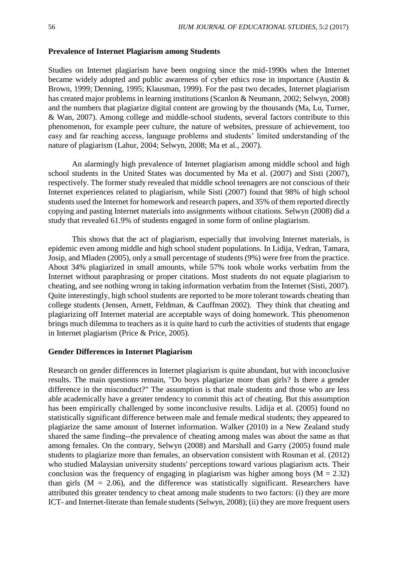### **Prevalence of Internet Plagiarism among Students**

Studies on Internet plagiarism have been ongoing since the mid-1990s when the Internet became widely adopted and public awareness of cyber ethics rose in importance (Austin & Brown, 1999; Denning, 1995; Klausman, 1999). For the past two decades, Internet plagiarism has created major problems in learning institutions (Scanlon & Neumann, 2002; Selwyn, 2008) and the numbers that plagiarize digital content are growing by the thousands (Ma, Lu, Turner, & Wan, 2007). Among college and middle-school students, several factors contribute to this phenomenon, for example peer culture, the nature of websites, pressure of achievement, too easy and far reaching access, language problems and students' limited understanding of the nature of plagiarism (Lahur, 2004; Selwyn, 2008; Ma et al., 2007).

An alarmingly high prevalence of Internet plagiarism among middle school and high school students in the United States was documented by Ma et al. (2007) and Sisti (2007), respectively. The former study revealed that middle school teenagers are not conscious of their Internet experiences related to plagiarism, while Sisti (2007) found that 98% of high school students used the Internet for homework and research papers, and 35% of them reported directly copying and pasting Internet materials into assignments without citations. Selwyn (2008) did a study that revealed 61.9% of students engaged in some form of online plagiarism.

This shows that the act of plagiarism, especially that involving Internet materials, is epidemic even among middle and high school student populations. In Lidija, Vedran, Tamara, Josip, and Mladen (2005), only a small percentage of students (9%) were free from the practice. About 34% plagiarized in small amounts, while 57% took whole works verbatim from the Internet without paraphrasing or proper citations. Most students do not equate plagiarism to cheating, and see nothing wrong in taking information verbatim from the Internet (Sisti, 2007). Quite interestingly, high school students are reported to be more tolerant towards cheating than college students (Jensen, Arnett, Feldman, & Cauffman 2002). They think that cheating and plagiarizing off Internet material are acceptable ways of doing homework. This phenomenon brings much dilemma to teachers as it is quite hard to curb the activities of students that engage in Internet plagiarism (Price & Price, 2005).

#### **Gender Differences in Internet Plagiarism**

Research on gender differences in Internet plagiarism is quite abundant, but with inconclusive results. The main questions remain, "Do boys plagiarize more than girls? Is there a gender difference in the misconduct?" The assumption is that male students and those who are less able academically have a greater tendency to commit this act of cheating. But this assumption has been empirically challenged by some inconclusive results. Lidija et al. (2005) found no statistically significant difference between male and female medical students; they appeared to plagiarize the same amount of Internet information. Walker (2010) in a New Zealand study shared the same finding--the prevalence of cheating among males was about the same as that among females. On the contrary, Selwyn (2008) and Marshall and Garry (2005) found male students to plagiarize more than females, an observation consistent with Rosman et al. (2012) who studied Malaysian university students' perceptions toward various plagiarism acts. Their conclusion was the frequency of engaging in plagiarism was higher among boys ( $M = 2.32$ ) than girls  $(M = 2.06)$ , and the difference was statistically significant. Researchers have attributed this greater tendency to cheat among male students to two factors: (i) they are more ICT- and Internet-literate than female students (Selwyn, 2008); (ii) they are more frequent users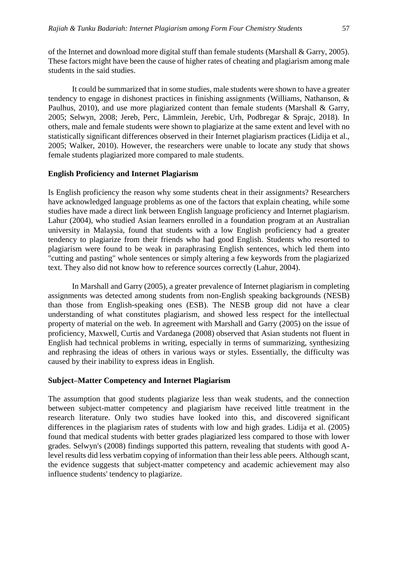of the Internet and download more digital stuff than female students (Marshall & Garry, 2005). These factors might have been the cause of higher rates of cheating and plagiarism among male students in the said studies.

It could be summarized that in some studies, male students were shown to have a greater tendency to engage in dishonest practices in finishing assignments (Williams, Nathanson, & Paulhus, 2010), and use more plagiarized content than female students (Marshall & Garry, 2005; Selwyn, 2008; Jereb, Perc, Lämmlein, Jerebic, Urh, Podbregar & Sprajc, 2018). In others, male and female students were shown to plagiarize at the same extent and level with no statistically significant differences observed in their Internet plagiarism practices (Lidija et al., 2005; Walker, 2010). However, the researchers were unable to locate any study that shows female students plagiarized more compared to male students.

### **English Proficiency and Internet Plagiarism**

Is English proficiency the reason why some students cheat in their assignments? Researchers have acknowledged language problems as one of the factors that explain cheating, while some studies have made a direct link between English language proficiency and Internet plagiarism. Lahur (2004), who studied Asian learners enrolled in a foundation program at an Australian university in Malaysia, found that students with a low English proficiency had a greater tendency to plagiarize from their friends who had good English. Students who resorted to plagiarism were found to be weak in paraphrasing English sentences, which led them into "cutting and pasting" whole sentences or simply altering a few keywords from the plagiarized text. They also did not know how to reference sources correctly (Lahur, 2004).

In Marshall and Garry (2005), a greater prevalence of Internet plagiarism in completing assignments was detected among students from non-English speaking backgrounds (NESB) than those from English-speaking ones (ESB). The NESB group did not have a clear understanding of what constitutes plagiarism, and showed less respect for the intellectual property of material on the web. In agreement with Marshall and Garry (2005) on the issue of proficiency, Maxwell, Curtis and Vardanega (2008) observed that Asian students not fluent in English had technical problems in writing, especially in terms of summarizing, synthesizing and rephrasing the ideas of others in various ways or styles. Essentially, the difficulty was caused by their inability to express ideas in English.

### **Subject–Matter Competency and Internet Plagiarism**

The assumption that good students plagiarize less than weak students, and the connection between subject-matter competency and plagiarism have received little treatment in the research literature. Only two studies have looked into this, and discovered significant differences in the plagiarism rates of students with low and high grades. Lidija et al. (2005) found that medical students with better grades plagiarized less compared to those with lower grades. Selwyn's (2008) findings supported this pattern, revealing that students with good Alevel results did less verbatim copying of information than their less able peers. Although scant, the evidence suggests that subject-matter competency and academic achievement may also influence students' tendency to plagiarize.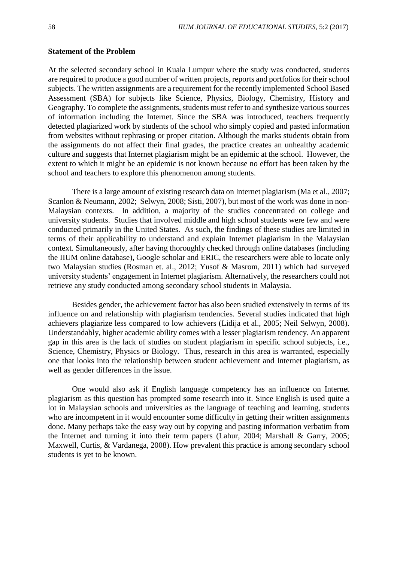### **Statement of the Problem**

At the selected secondary school in Kuala Lumpur where the study was conducted, students are required to produce a good number of written projects, reports and portfolios for their school subjects. The written assignments are a requirement for the recently implemented School Based Assessment (SBA) for subjects like Science, Physics, Biology, Chemistry, History and Geography. To complete the assignments, students must refer to and synthesize various sources of information including the Internet. Since the SBA was introduced, teachers frequently detected plagiarized work by students of the school who simply copied and pasted information from websites without rephrasing or proper citation. Although the marks students obtain from the assignments do not affect their final grades, the practice creates an unhealthy academic culture and suggests that Internet plagiarism might be an epidemic at the school. However, the extent to which it might be an epidemic is not known because no effort has been taken by the school and teachers to explore this phenomenon among students.

There is a large amount of existing research data on Internet plagiarism (Ma et al., 2007; Scanlon & Neumann, 2002; Selwyn, 2008; Sisti, 2007), but most of the work was done in non-Malaysian contexts. In addition, a majority of the studies concentrated on college and university students. Studies that involved middle and high school students were few and were conducted primarily in the United States. As such, the findings of these studies are limited in terms of their applicability to understand and explain Internet plagiarism in the Malaysian context. Simultaneously, after having thoroughly checked through online databases (including the IIUM online database), Google scholar and ERIC, the researchers were able to locate only two Malaysian studies (Rosman et. al., 2012; Yusof & Masrom, 2011) which had surveyed university students' engagement in Internet plagiarism. Alternatively, the researchers could not retrieve any study conducted among secondary school students in Malaysia.

Besides gender, the achievement factor has also been studied extensively in terms of its influence on and relationship with plagiarism tendencies. Several studies indicated that high achievers plagiarize less compared to low achievers (Lidija et al., 2005; Neil Selwyn, 2008). Understandably, higher academic ability comes with a lesser plagiarism tendency. An apparent gap in this area is the lack of studies on student plagiarism in specific school subjects, i.e., Science, Chemistry, Physics or Biology. Thus, research in this area is warranted, especially one that looks into the relationship between student achievement and Internet plagiarism, as well as gender differences in the issue.

One would also ask if English language competency has an influence on Internet plagiarism as this question has prompted some research into it. Since English is used quite a lot in Malaysian schools and universities as the language of teaching and learning, students who are incompetent in it would encounter some difficulty in getting their written assignments done. Many perhaps take the easy way out by copying and pasting information verbatim from the Internet and turning it into their term papers (Lahur, 2004; Marshall & Garry, 2005; Maxwell, Curtis, & Vardanega, 2008). How prevalent this practice is among secondary school students is yet to be known.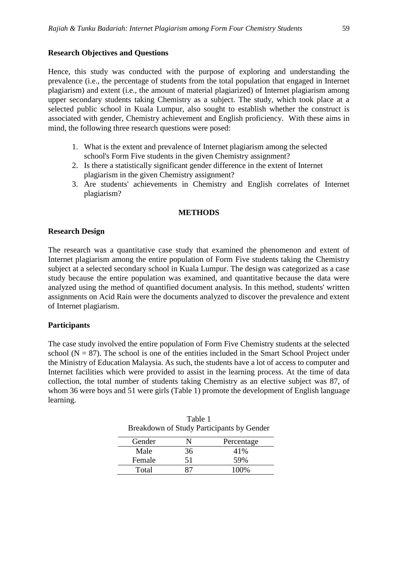### **Research Objectives and Questions**

Hence, this study was conducted with the purpose of exploring and understanding the prevalence (i.e., the percentage of students from the total population that engaged in Internet plagiarism) and extent (i.e., the amount of material plagiarized) of Internet plagiarism among upper secondary students taking Chemistry as a subject. The study, which took place at a selected public school in Kuala Lumpur, also sought to establish whether the construct is associated with gender, Chemistry achievement and English proficiency. With these aims in mind, the following three research questions were posed:

- 1. What is the extent and prevalence of Internet plagiarism among the selected school's Form Five students in the given Chemistry assignment?
- 2. Is there a statistically significant gender difference in the extent of Internet plagiarism in the given Chemistry assignment?
- 3. Are students' achievements in Chemistry and English correlates of Internet plagiarism?

### **METHODS**

### **Research Design**

The research was a quantitative case study that examined the phenomenon and extent of Internet plagiarism among the entire population of Form Five students taking the Chemistry subject at a selected secondary school in Kuala Lumpur. The design was categorized as a case study because the entire population was examined, and quantitative because the data were analyzed using the method of quantified document analysis. In this method, students' written assignments on Acid Rain were the documents analyzed to discover the prevalence and extent of Internet plagiarism.

### **Participants**

The case study involved the entire population of Form Five Chemistry students at the selected school ( $N = 87$ ). The school is one of the entities included in the Smart School Project under the Ministry of Education Malaysia. As such, the students have a lot of access to computer and Internet facilities which were provided to assist in the learning process. At the time of data collection, the total number of students taking Chemistry as an elective subject was 87, of whom 36 were boys and 51 were girls (Table 1) promote the development of English language learning.

|            | Table 1 |                                           |
|------------|---------|-------------------------------------------|
|            |         | Breakdown of Study Participants by Gender |
| $C$ and an |         | Domaanta aa                               |

| Gender |    | Percentage |
|--------|----|------------|
| Male   | 36 | 41%        |
| Female | 51 | 59%        |
| Total  |    | 100%       |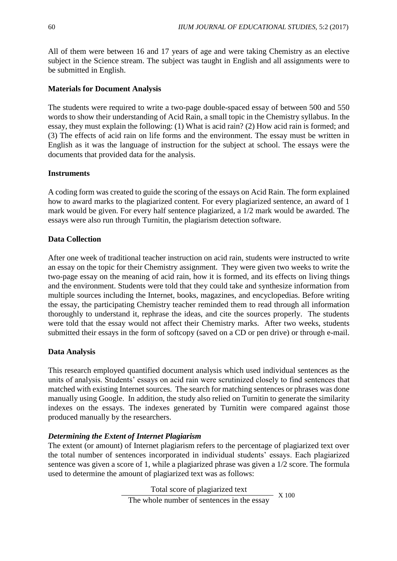All of them were between 16 and 17 years of age and were taking Chemistry as an elective subject in the Science stream. The subject was taught in English and all assignments were to be submitted in English.

## **Materials for Document Analysis**

The students were required to write a two-page double-spaced essay of between 500 and 550 words to show their understanding of Acid Rain, a small topic in the Chemistry syllabus. In the essay, they must explain the following: (1) What is acid rain? (2) How acid rain is formed; and (3) The effects of acid rain on life forms and the environment. The essay must be written in English as it was the language of instruction for the subject at school. The essays were the documents that provided data for the analysis.

### **Instruments**

A coding form was created to guide the scoring of the essays on Acid Rain. The form explained how to award marks to the plagiarized content. For every plagiarized sentence, an award of 1 mark would be given. For every half sentence plagiarized, a 1/2 mark would be awarded. The essays were also run through Turnitin, the plagiarism detection software.

### **Data Collection**

After one week of traditional teacher instruction on acid rain, students were instructed to write an essay on the topic for their Chemistry assignment. They were given two weeks to write the two-page essay on the meaning of acid rain, how it is formed, and its effects on living things and the environment. Students were told that they could take and synthesize information from multiple sources including the Internet, books, magazines, and encyclopedias. Before writing the essay, the participating Chemistry teacher reminded them to read through all information thoroughly to understand it, rephrase the ideas, and cite the sources properly. The students were told that the essay would not affect their Chemistry marks. After two weeks, students submitted their essays in the form of softcopy (saved on a CD or pen drive) or through e-mail.

# **Data Analysis**

This research employed quantified document analysis which used individual sentences as the units of analysis. Students' essays on acid rain were scrutinized closely to find sentences that matched with existing Internet sources. The search for matching sentences or phrases was done manually using Google. In addition, the study also relied on Turnitin to generate the similarity indexes on the essays. The indexes generated by Turnitin were compared against those produced manually by the researchers.

# *Determining the Extent of Internet Plagiarism*

The extent (or amount) of Internet plagiarism refers to the percentage of plagiarized text over the total number of sentences incorporated in individual students' essays. Each plagiarized sentence was given a score of 1, while a plagiarized phrase was given a 1/2 score. The formula used to determine the amount of plagiarized text was as follows:

> Total score of plagiarized text The whole number of sentences in the essay  $X$  100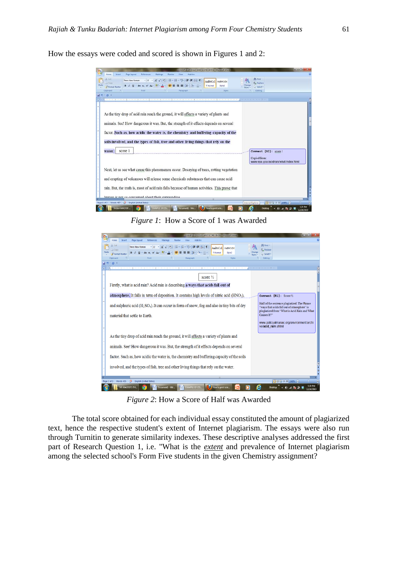How the essays were coded and scored is shown in Figures 1 and 2:

|                                                                                  |                                                                                                                                                                                                                                                                                                                                                                               |                                                                                   | <b>EXAMPLE OF SSAY AND SOCKET FULL MODERN WORK</b>           |                                                                               | $-10-1$          |
|----------------------------------------------------------------------------------|-------------------------------------------------------------------------------------------------------------------------------------------------------------------------------------------------------------------------------------------------------------------------------------------------------------------------------------------------------------------------------|-----------------------------------------------------------------------------------|--------------------------------------------------------------|-------------------------------------------------------------------------------|------------------|
| Home<br>Intert<br>Cut<br>J Copy<br>Pasta<br><b>3</b> Format Painter<br>Clipboard | Page Layout<br>Mailings<br>References<br>Times New Roman<br>$-12$<br>$B$ $I$ $B$ $-$ also $x$ , $x^*$<br>Font                                                                                                                                                                                                                                                                 | Add-but<br>Wew<br>Review<br>A 5 15<br>日·日·店·講演 付き<br>性引き - 田一<br><b>Faragraph</b> | AaBbCcI AaBbCcDc<br>1 Normal<br>Style <sub>2</sub><br>Styles | <sup>44</sup> Find -<br><b>EL Replace</b><br>Change<br>> Select =<br>Editing. |                  |
| $-15.7$<br>in.                                                                   |                                                                                                                                                                                                                                                                                                                                                                               |                                                                                   |                                                              |                                                                               |                  |
|                                                                                  | and an energy part of the control of the control of the control of the control of the part of the property of the control of the control of the control of the control of the control of the control of the control of the con                                                                                                                                                |                                                                                   |                                                              |                                                                               |                  |
| water.                                                                           | As the tiny drop of acid rain reach the ground, it will affects a variety of plants and<br>animals. See! How dangerous it was. But, the strength of it effects depends on several<br>factor. Such as, how acidic the water is, the chemistry and buffering capacity of the<br>soils involved, and the types of fish, tree and other living things that rely on the<br>score 1 |                                                                                   |                                                              | Comment [R2]: score 1                                                         |                  |
|                                                                                  |                                                                                                                                                                                                                                                                                                                                                                               |                                                                                   |                                                              | Copied from:<br>www.epa.gov/acidrain/what/index.html                          |                  |
|                                                                                  | Next, let us see what cause this phenomenon occur. Decaying of trees, rotting vegetation<br>and erupting of volcanoes will release some chemicals substances that can cause acid                                                                                                                                                                                              |                                                                                   |                                                              |                                                                               |                  |
|                                                                                  | rain. But, the truth is, most of acid rain falls because of human activities. This prove that                                                                                                                                                                                                                                                                                 |                                                                                   |                                                              |                                                                               |                  |
|                                                                                  | human is not so concerned about their currounding                                                                                                                                                                                                                                                                                                                             |                                                                                   |                                                              |                                                                               |                  |
|                                                                                  | Words: 457 Co English (United States)                                                                                                                                                                                                                                                                                                                                         |                                                                                   |                                                              | Internet Explorer                                                             | (003 3 8 140% C) |
|                                                                                  | <b>EALAH MASTER __ CO CAMPLE OF EXS.</b> The Document - Mic. Co How to print scie.                                                                                                                                                                                                                                                                                            |                                                                                   |                                                              | e<br>Desktop                                                                  | 5:23 PM          |

*Figure 1*: How a Score of 1 was Awarded



*Figure 2*: How a Score of Half was Awarded

The total score obtained for each individual essay constituted the amount of plagiarized text, hence the respective student's extent of Internet plagiarism. The essays were also run through Turnitin to generate similarity indexes. These descriptive analyses addressed the first part of Research Question 1, i.e. "What is the *extent* and prevalence of Internet plagiarism among the selected school's Form Five students in the given Chemistry assignment?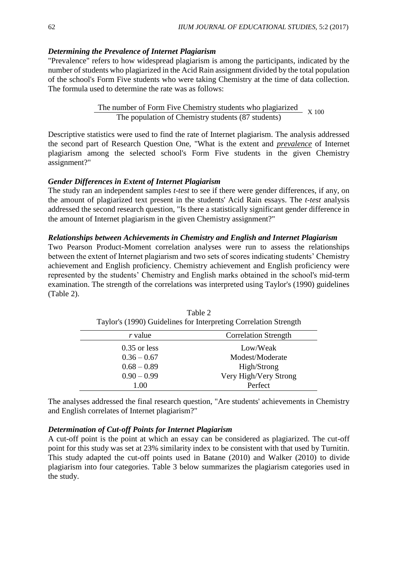### *Determining the Prevalence of Internet Plagiarism*

"Prevalence" refers to how widespread plagiarism is among the participants, indicated by the number of students who plagiarized in the Acid Rain assignment divided by the total population of the school's Form Five students who were taking Chemistry at the time of data collection. The formula used to determine the rate was as follows:

> The number of Form Five Chemistry students who plagiarized The population of Chemistry students (87 students) X 100

Descriptive statistics were used to find the rate of Internet plagiarism. The analysis addressed the second part of Research Question One, "What is the extent and *prevalence* of Internet plagiarism among the selected school's Form Five students in the given Chemistry assignment?"

#### *Gender Differences in Extent of Internet Plagiarism*

The study ran an independent samples *t-test* to see if there were gender differences, if any, on the amount of plagiarized text present in the students' Acid Rain essays. The *t-test* analysis addressed the second research question, "Is there a statistically significant gender difference in the amount of Internet plagiarism in the given Chemistry assignment?"

### *Relationships between Achievements in Chemistry and English and Internet Plagiarism*

Two Pearson Product-Moment correlation analyses were run to assess the relationships between the extent of Internet plagiarism and two sets of scores indicating students' Chemistry achievement and English proficiency. Chemistry achievement and English proficiency were represented by the students' Chemistry and English marks obtained in the school's mid-term examination. The strength of the correlations was interpreted using Taylor's (1990) guidelines (Table 2).

| ration 5 (1220) Suidenlies for interpreting correlation buongin |  |  |  |  |
|-----------------------------------------------------------------|--|--|--|--|
| <b>Correlation Strength</b>                                     |  |  |  |  |
| Low/Weak                                                        |  |  |  |  |
| Modest/Moderate                                                 |  |  |  |  |
| High/Strong                                                     |  |  |  |  |
| Very High/Very Strong                                           |  |  |  |  |
| Perfect                                                         |  |  |  |  |
|                                                                 |  |  |  |  |

Table 2 Taylor's (1990) Guidelines for Interpreting Correlation Strength

The analyses addressed the final research question, "Are students' achievements in Chemistry and English correlates of Internet plagiarism?"

### *Determination of Cut-off Points for Internet Plagiarism*

A cut-off point is the point at which an essay can be considered as plagiarized. The cut-off point for this study was set at 23% similarity index to be consistent with that used by Turnitin. This study adapted the cut-off points used in Batane (2010) and Walker (2010) to divide plagiarism into four categories. Table 3 below summarizes the plagiarism categories used in the study.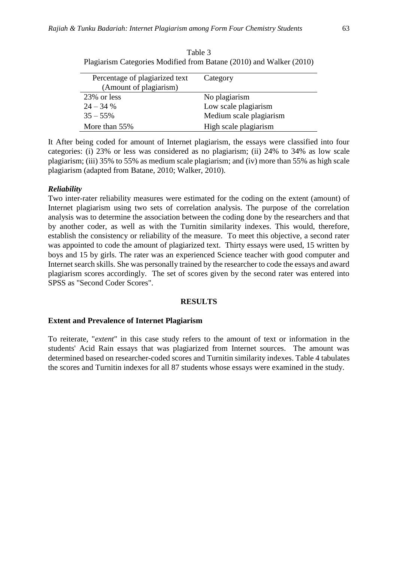| Percentage of plagiarized text<br>(Amount of plagiarism) | Category                |
|----------------------------------------------------------|-------------------------|
| 23% or less                                              | No plagiarism           |
| $24 - 34%$                                               | Low scale plagiarism    |
| $35 - 55\%$                                              | Medium scale plagiarism |
| More than $55\%$                                         | High scale plagiarism   |

Table 3 Plagiarism Categories Modified from Batane (2010) and Walker (2010)

It After being coded for amount of Internet plagiarism, the essays were classified into four categories: (i) 23% or less was considered as no plagiarism; (ii) 24% to 34% as low scale plagiarism; (iii) 35% to 55% as medium scale plagiarism; and (iv) more than 55% as high scale plagiarism (adapted from Batane, 2010; Walker, 2010).

### *Reliability*

Two inter-rater reliability measures were estimated for the coding on the extent (amount) of Internet plagiarism using two sets of correlation analysis. The purpose of the correlation analysis was to determine the association between the coding done by the researchers and that by another coder, as well as with the Turnitin similarity indexes. This would, therefore, establish the consistency or reliability of the measure. To meet this objective, a second rater was appointed to code the amount of plagiarized text. Thirty essays were used, 15 written by boys and 15 by girls. The rater was an experienced Science teacher with good computer and Internet search skills. She was personally trained by the researcher to code the essays and award plagiarism scores accordingly. The set of scores given by the second rater was entered into SPSS as "Second Coder Scores".

### **RESULTS**

### **Extent and Prevalence of Internet Plagiarism**

To reiterate, "*extent*" in this case study refers to the amount of text or information in the students' Acid Rain essays that was plagiarized from Internet sources. The amount was determined based on researcher-coded scores and Turnitin similarity indexes. Table 4 tabulates the scores and Turnitin indexes for all 87 students whose essays were examined in the study.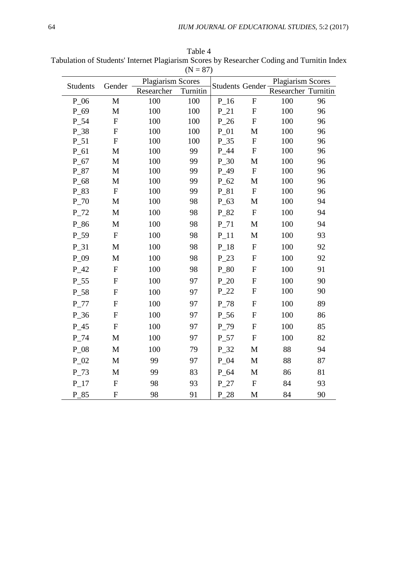| <b>Students</b> | Gender                    | <b>Plagiarism Scores</b> |          |          | <b>Students Gender</b>    |                     | <b>Plagiarism Scores</b> |
|-----------------|---------------------------|--------------------------|----------|----------|---------------------------|---------------------|--------------------------|
|                 |                           | Researcher               | Turnitin |          |                           | Researcher Turnitin |                          |
| $P_06$          | $\mathbf M$               | 100                      | 100      | $P_16$   | $\boldsymbol{\mathrm{F}}$ | 100                 | 96                       |
| P 69            | $\mathbf M$               | 100                      | 100      | $P_21$   | ${\bf F}$                 | 100                 | 96                       |
| $P_54$          | ${\bf F}$                 | 100                      | 100      | $P_26$   | $\boldsymbol{\mathrm{F}}$ | 100                 | 96                       |
| P_38            | ${\bf F}$                 | 100                      | 100      | $P_01$   | M                         | 100                 | 96                       |
| $P_51$          | ${\bf F}$                 | 100                      | 100      | $P_35$   | ${\bf F}$                 | 100                 | 96                       |
| $P_61$          | M                         | 100                      | 99       | $P_44$   | $\mathbf F$               | 100                 | 96                       |
| $P_67$          | $\mathbf M$               | 100                      | 99       | $P_30$   | $\mathbf M$               | 100                 | 96                       |
| $P_87$          | $\mathbf M$               | 100                      | 99       | $P_49$   | ${\bf F}$                 | 100                 | 96                       |
| $P_68$          | $\mathbf M$               | 100                      | 99       | $P_62$   | $\mathbf M$               | 100                 | 96                       |
| P_83            | ${\bf F}$                 | 100                      | 99       | $P_81$   | $\boldsymbol{\mathrm{F}}$ | 100                 | 96                       |
| $P_70$          | M                         | 100                      | 98       | $P_63$   | M                         | 100                 | 94                       |
| $P_72$          | M                         | 100                      | 98       | P_82     | ${\bf F}$                 | 100                 | 94                       |
| P_86            | $\mathbf M$               | 100                      | 98       | $P_71$   | $\mathbf M$               | 100                 | 94                       |
| $P_59$          | ${\bf F}$                 | 100                      | 98       | $P_11$   | M                         | 100                 | 93                       |
| $P_31$          | $\mathbf{M}$              | 100                      | 98       | $P_{18}$ | ${\bf F}$                 | 100                 | 92                       |
| $P_09$          | M                         | 100                      | 98       | $P_23$   | ${\bf F}$                 | 100                 | 92                       |
| $P_42$          | $\boldsymbol{\mathrm{F}}$ | 100                      | 98       | $P_80$   | ${\bf F}$                 | 100                 | 91                       |
| $P_{55}$        | ${\bf F}$                 | 100                      | 97       | P 20     | ${\bf F}$                 | 100                 | 90                       |
| P_58            | ${\bf F}$                 | 100                      | 97       | $P_22$   | ${\bf F}$                 | 100                 | 90                       |
| $P_77$          | ${\bf F}$                 | 100                      | 97       | $P_78$   | ${\bf F}$                 | 100                 | 89                       |
| $P_36$          | ${\bf F}$                 | 100                      | 97       | $P_56$   | ${\bf F}$                 | 100                 | 86                       |
| $P_45$          | ${\bf F}$                 | 100                      | 97       | $P_79$   | $\boldsymbol{\mathrm{F}}$ | 100                 | 85                       |
| $P_74$          | $\mathbf M$               | 100                      | 97       | $P_57$   | $\boldsymbol{\mathrm{F}}$ | 100                 | 82                       |
| $P_08$          | M                         | 100                      | 79       | $P_32$   | $\mathbf M$               | 88                  | 94                       |
| $P_02$          | M                         | 99                       | 97       | $P_04$   | $\mathbf M$               | 88                  | 87                       |
| $P_73$          | M                         | 99                       | 83       | $P_64$   | M                         | 86                  | 81                       |
| $P_17$          | ${\bf F}$                 | 98                       | 93       | $P_27$   | $\mathbf F$               | 84                  | 93                       |
| P 85            | ${\bf F}$                 | 98                       | 91       | P 28     | M                         | 84                  | 90                       |

Table 4 Tabulation of Students' Internet Plagiarism Scores by Researcher Coding and Turnitin Index  $(N = 87)$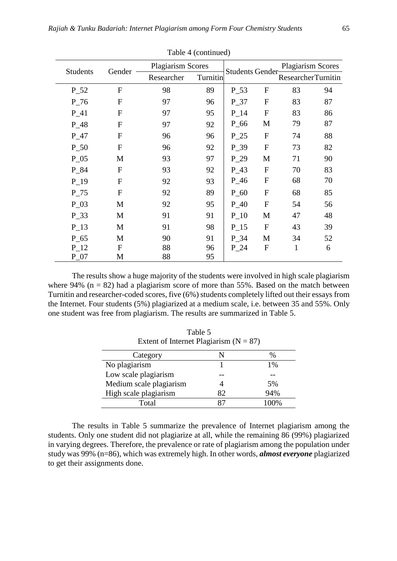|           | Table 4 (continued) |            |                          |                        |                  |                          |    |
|-----------|---------------------|------------|--------------------------|------------------------|------------------|--------------------------|----|
|           |                     |            | <b>Plagiarism Scores</b> |                        |                  | <b>Plagiarism Scores</b> |    |
| Students  | Gender              | Researcher | Turnitin                 | <b>Students Gender</b> |                  | ResearcherTurnitin       |    |
| $P_52$    | F                   | 98         | 89                       | $P_{-}53$              | $\mathbf{F}$     | 83                       | 94 |
| $P_76$    | F                   | 97         | 96                       | $P_37$                 | F                | 83                       | 87 |
| $P_41$    | F                   | 97         | 95                       | $P_14$                 | F                | 83                       | 86 |
| $P_48$    | F                   | 97         | 92                       | $P_{-66}$              | M                | 79                       | 87 |
| $P_47$    | F                   | 96         | 96                       | $P_25$                 | $\overline{F}$   | 74                       | 88 |
| $P_50$    | F                   | 96         | 92                       | $P_{39}$               | F                | 73                       | 82 |
| $P_05$    | M                   | 93         | 97                       | $P_29$                 | M                | 71                       | 90 |
| $P_84$    | $\mathbf{F}$        | 93         | 92                       | $P_43$                 | $\mathbf{F}$     | 70                       | 83 |
| $P_19$    | F                   | 92         | 93                       | $P_46$                 | $\mathbf{F}$     | 68                       | 70 |
| $P_75$    | F                   | 92         | 89                       | $P_60$                 | F                | 68                       | 85 |
| $P_03$    | M                   | 92         | 95                       | $P_40$                 | $\overline{F}$   | 54                       | 56 |
| $P_33$    | M                   | 91         | 91                       | $P_{10}$               | M                | 47                       | 48 |
| $P_{13}$  | M                   | 91         | 98                       | $P_{15}$               | $\mathbf{F}$     | 43                       | 39 |
| $P_{-}65$ | M                   | 90         | 91                       | $P_34$                 | M                | 34                       | 52 |
| $P_12$    | F                   | 88         | 96                       | $P_24$                 | $\boldsymbol{F}$ | 1                        | 6  |
| $P_07$    | М                   | 88         | 95                       |                        |                  |                          |    |

The results show a huge majority of the students were involved in high scale plagiarism where 94% ( $n = 82$ ) had a plagiarism score of more than 55%. Based on the match between Turnitin and researcher-coded scores, five (6%) students completely lifted out their essays from the Internet. Four students (5%) plagiarized at a medium scale, i.e. between 35 and 55%. Only one student was free from plagiarism. The results are summarized in Table 5.

Table 5

| Extent of Internet Plagiarism ( $N = 87$ ) |     |               |
|--------------------------------------------|-----|---------------|
| Category                                   |     | $\frac{0}{0}$ |
| No plagiarism                              |     | $1\%$         |
| Low scale plagiarism                       |     |               |
| Medium scale plagiarism                    |     | 5%            |
| High scale plagiarism                      | 82. | 94%           |
| Total                                      |     | $100\%$       |

The results in Table 5 summarize the prevalence of Internet plagiarism among the students. Only one student did not plagiarize at all, while the remaining 86 (99%) plagiarized in varying degrees. Therefore, the prevalence or rate of plagiarism among the population under study was 99% (n=86), which was extremely high. In other words, *almost everyone* plagiarized to get their assignments done.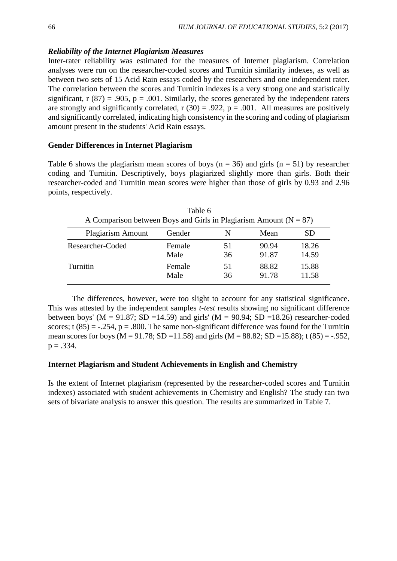### *Reliability of the Internet Plagiarism Measures*

Inter-rater reliability was estimated for the measures of Internet plagiarism. Correlation analyses were run on the researcher-coded scores and Turnitin similarity indexes, as well as between two sets of 15 Acid Rain essays coded by the researchers and one independent rater. The correlation between the scores and Turnitin indexes is a very strong one and statistically significant,  $r(87) = .905$ ,  $p = .001$ . Similarly, the scores generated by the independent raters are strongly and significantly correlated,  $r(30) = .922$ ,  $p = .001$ . All measures are positively and significantly correlated, indicating high consistency in the scoring and coding of plagiarism amount present in the students' Acid Rain essays.

### **Gender Differences in Internet Plagiarism**

Table 6 shows the plagiarism mean scores of boys ( $n = 36$ ) and girls ( $n = 51$ ) by researcher coding and Turnitin. Descriptively, boys plagiarized slightly more than girls. Both their researcher-coded and Turnitin mean scores were higher than those of girls by 0.93 and 2.96 points, respectively.

| A Comparison between Boys and Girls in Plagiarism Amount ( $N = 87$ ) |                |    |                |                |
|-----------------------------------------------------------------------|----------------|----|----------------|----------------|
| <b>Plagiarism Amount</b>                                              | Gender         |    | Mean           | SD.            |
| Researcher-Coded                                                      | Female<br>Male | 36 | 90.94<br>91.87 | 18.26<br>14.59 |
| <b>Turnitin</b>                                                       | Female<br>Male | 36 | 88.82<br>91.78 | 15.88<br>11.58 |

Table 6

The differences, however, were too slight to account for any statistical significance. This was attested by the independent samples *t-test* results showing no significant difference between boys' ( $M = 91.87$ ; SD =14.59) and girls' ( $M = 90.94$ ; SD =18.26) researcher-coded scores; t  $(85) = -.254$ ,  $p = .800$ . The same non-significant difference was found for the Turnitin mean scores for boys ( $M = 91.78$ ;  $SD = 11.58$ ) and girls ( $M = 88.82$ ;  $SD = 15.88$ ); t (85) = -.952,  $p = .334$ .

### **Internet Plagiarism and Student Achievements in English and Chemistry**

Is the extent of Internet plagiarism (represented by the researcher-coded scores and Turnitin indexes) associated with student achievements in Chemistry and English? The study ran two sets of bivariate analysis to answer this question. The results are summarized in Table 7.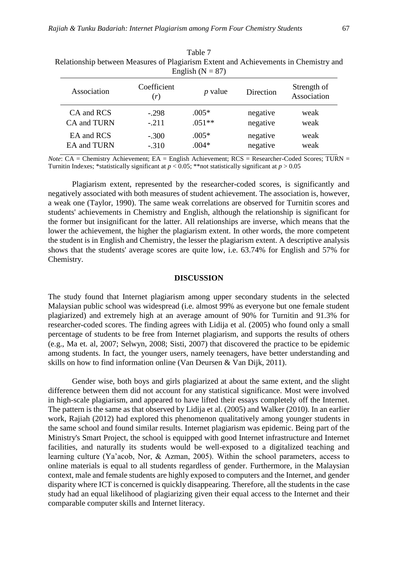|                    | relationship occured measures of Flagminghi Entent and Frence chientis in Chemistry and<br>English ( $N = 87$ ) |           |           |                            |  |  |  |
|--------------------|-----------------------------------------------------------------------------------------------------------------|-----------|-----------|----------------------------|--|--|--|
| Association        | Coefficient<br>(r)                                                                                              | $p$ value | Direction | Strength of<br>Association |  |  |  |
| CA and RCS         | $-.298$                                                                                                         | $.005*$   | negative  | weak                       |  |  |  |
| CA and TURN        | $-.211$                                                                                                         | $.051**$  | negative  | weak                       |  |  |  |
| EA and RCS         | $-.300$                                                                                                         | $.005*$   | negative  | weak                       |  |  |  |
| <b>EA</b> and TURN | $-.310$                                                                                                         | $.004*$   | negative  | weak                       |  |  |  |

Table 7 Relationship between Measures of Plagiarism Extent and Achievements in Chemistry and

*Note*: CA = Chemistry Achievement; EA = English Achievement; RCS = Researcher-Coded Scores; TURN = Turnitin Indexes; \*statistically significant at  $p < 0.05$ ; \*\*not statistically significant at  $p > 0.05$ 

Plagiarism extent, represented by the researcher-coded scores, is significantly and negatively associated with both measures of student achievement. The association is, however, a weak one (Taylor, 1990). The same weak correlations are observed for Turnitin scores and students' achievements in Chemistry and English, although the relationship is significant for the former but insignificant for the latter. All relationships are inverse, which means that the lower the achievement, the higher the plagiarism extent. In other words, the more competent the student is in English and Chemistry, the lesser the plagiarism extent. A descriptive analysis shows that the students' average scores are quite low, i.e. 63.74% for English and 57% for Chemistry.

#### **DISCUSSION**

The study found that Internet plagiarism among upper secondary students in the selected Malaysian public school was widespread (i.e. almost 99% as everyone but one female student plagiarized) and extremely high at an average amount of 90% for Turnitin and 91.3% for researcher-coded scores. The finding agrees with Lidija et al. (2005) who found only a small percentage of students to be free from Internet plagiarism, and supports the results of others (e.g., Ma et. al, 2007; Selwyn, 2008; Sisti, 2007) that discovered the practice to be epidemic among students. In fact, the younger users, namely teenagers, have better understanding and skills on how to find information online (Van Deursen & Van Dijk, 2011).

Gender wise, both boys and girls plagiarized at about the same extent, and the slight difference between them did not account for any statistical significance. Most were involved in high-scale plagiarism, and appeared to have lifted their essays completely off the Internet. The pattern is the same as that observed by Lidija et al. (2005) and Walker (2010). In an earlier work, Rajiah (2012) had explored this phenomenon qualitatively among younger students in the same school and found similar results. Internet plagiarism was epidemic. Being part of the Ministry's Smart Project, the school is equipped with good Internet infrastructure and Internet facilities, and naturally its students would be well-exposed to a digitalized teaching and learning culture (Ya'acob, Nor, & Azman, 2005). Within the school parameters, access to online materials is equal to all students regardless of gender. Furthermore, in the Malaysian context, male and female students are highly exposed to computers and the Internet, and gender disparity where ICT is concerned is quickly disappearing. Therefore, all the students in the case study had an equal likelihood of plagiarizing given their equal access to the Internet and their comparable computer skills and Internet literacy.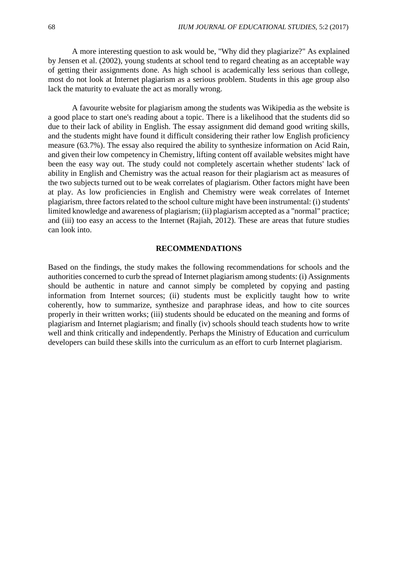A more interesting question to ask would be, "Why did they plagiarize?" As explained by Jensen et al. (2002), young students at school tend to regard cheating as an acceptable way of getting their assignments done. As high school is academically less serious than college, most do not look at Internet plagiarism as a serious problem. Students in this age group also lack the maturity to evaluate the act as morally wrong.

A favourite website for plagiarism among the students was Wikipedia as the website is a good place to start one's reading about a topic. There is a likelihood that the students did so due to their lack of ability in English. The essay assignment did demand good writing skills, and the students might have found it difficult considering their rather low English proficiency measure (63.7%). The essay also required the ability to synthesize information on Acid Rain, and given their low competency in Chemistry, lifting content off available websites might have been the easy way out. The study could not completely ascertain whether students' lack of ability in English and Chemistry was the actual reason for their plagiarism act as measures of the two subjects turned out to be weak correlates of plagiarism. Other factors might have been at play. As low proficiencies in English and Chemistry were weak correlates of Internet plagiarism, three factors related to the school culture might have been instrumental: (i) students' limited knowledge and awareness of plagiarism; (ii) plagiarism accepted as a "normal" practice; and (iii) too easy an access to the Internet (Rajiah, 2012). These are areas that future studies can look into.

#### **RECOMMENDATIONS**

Based on the findings, the study makes the following recommendations for schools and the authorities concerned to curb the spread of Internet plagiarism among students: (i) Assignments should be authentic in nature and cannot simply be completed by copying and pasting information from Internet sources; (ii) students must be explicitly taught how to write coherently, how to summarize, synthesize and paraphrase ideas, and how to cite sources properly in their written works; (iii) students should be educated on the meaning and forms of plagiarism and Internet plagiarism; and finally (iv) schools should teach students how to write well and think critically and independently. Perhaps the Ministry of Education and curriculum developers can build these skills into the curriculum as an effort to curb Internet plagiarism.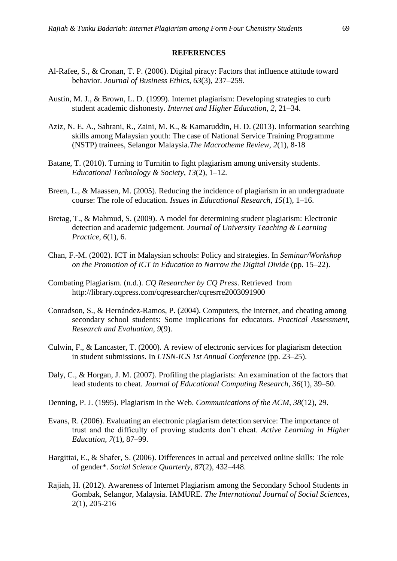#### **REFERENCES**

- Al-Rafee, S., & Cronan, T. P. (2006). Digital piracy: Factors that influence attitude toward behavior. *Journal of Business Ethics*, *63*(3), 237–259.
- Austin, M. J., & Brown, L. D. (1999). Internet plagiarism: Developing strategies to curb student academic dishonesty. *Internet and Higher Education*, *2*, 21–34.
- Aziz, N. E. A., Sahrani, R., Zaini, M. K., & Kamaruddin, H. D. (2013). Information searching skills among Malaysian youth: The case of National Service Training Programme (NSTP) trainees, Selangor Malaysia.*The Macrotheme Review, 2*(1), 8-18
- Batane, T. (2010). Turning to Turnitin to fight plagiarism among university students. *Educational Technology & Society*, *13*(2), 1–12.
- Breen, L., & Maassen, M. (2005). Reducing the incidence of plagiarism in an undergraduate course: The role of education. *Issues in Educational Research*, *15*(1), 1–16.
- Bretag, T., & Mahmud, S. (2009). A model for determining student plagiarism: Electronic detection and academic judgement. *Journal of University Teaching & Learning Practice*, *6*(1), 6.
- Chan, F.-M. (2002). ICT in Malaysian schools: Policy and strategies. In *Seminar/Workshop on the Promotion of ICT in Education to Narrow the Digital Divide* (pp. 15–22).
- Combating Plagiarism. (n.d.). *CQ Researcher by CQ Press*. Retrieved from http://library.cqpress.com/cqresearcher/cqresrre2003091900
- Conradson, S., & Hernández-Ramos, P. (2004). Computers, the internet, and cheating among secondary school students: Some implications for educators. *Practical Assessment, Research and Evaluation*, *9*(9).
- Culwin, F., & Lancaster, T. (2000). A review of electronic services for plagiarism detection in student submissions. In *LTSN-ICS 1st Annual Conference* (pp. 23–25).
- Daly, C., & Horgan, J. M. (2007). Profiling the plagiarists: An examination of the factors that lead students to cheat. *Journal of Educational Computing Research*, *36*(1), 39–50.
- Denning, P. J. (1995). Plagiarism in the Web. *Communications of the ACM*, *38*(12), 29.
- Evans, R. (2006). Evaluating an electronic plagiarism detection service: The importance of trust and the difficulty of proving students don't cheat. *Active Learning in Higher Education*, *7*(1), 87–99.
- Hargittai, E., & Shafer, S. (2006). Differences in actual and perceived online skills: The role of gender\*. *Social Science Quarterly*, *87*(2), 432–448.
- Rajiah, H. (2012). Awareness of Internet Plagiarism among the Secondary School Students in Gombak, Selangor, Malaysia. IAMURE. *The International Journal of Social Sciences*, 2(1), 205-216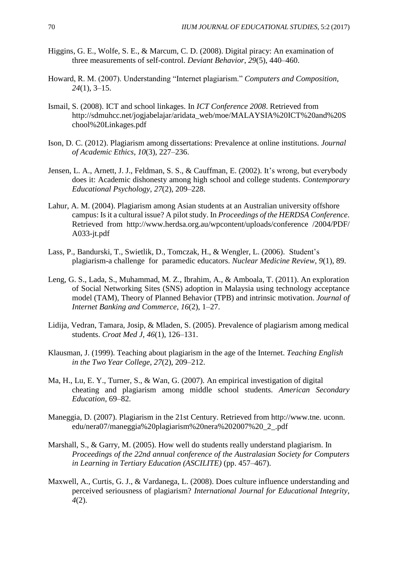- Higgins, G. E., Wolfe, S. E., & Marcum, C. D. (2008). Digital piracy: An examination of three measurements of self-control. *Deviant Behavior*, *29*(5), 440–460.
- Howard, R. M. (2007). Understanding "Internet plagiarism." *Computers and Composition*, *24*(1), 3–15.
- Ismail, S. (2008). ICT and school linkages. In *ICT Conference 2008*. Retrieved from http://sdmuhcc.net/jogjabelajar/aridata\_web/moe/MALAYSIA%20ICT%20and%20S chool%20Linkages.pdf
- Ison, D. C. (2012). Plagiarism among dissertations: Prevalence at online institutions. *Journal of Academic Ethics*, *10*(3), 227–236.
- Jensen, L. A., Arnett, J. J., Feldman, S. S., & Cauffman, E. (2002). It's wrong, but everybody does it: Academic dishonesty among high school and college students. *Contemporary Educational Psychology*, *27*(2), 209–228.
- Lahur, A. M. (2004). Plagiarism among Asian students at an Australian university offshore campus: Is it a cultural issue? A pilot study. In *Proceedings of the HERDSA Conference*. Retrieved from http://www.herdsa.org.au/wpcontent/uploads/conference /2004/PDF/ A033-jt.pdf
- Lass, P., Bandurski, T., Swietlik, D., Tomczak, H., & Wengler, L. (2006). Student's plagiarism-a challenge for paramedic educators. *Nuclear Medicine Review*, *9*(1), 89.
- Leng, G. S., Lada, S., Muhammad, M. Z., Ibrahim, A., & Amboala, T. (2011). An exploration of Social Networking Sites (SNS) adoption in Malaysia using technology acceptance model (TAM), Theory of Planned Behavior (TPB) and intrinsic motivation. *Journal of Internet Banking and Commerce*, *16*(2), 1–27.
- Lidija, Vedran, Tamara, Josip, & Mladen, S. (2005). Prevalence of plagiarism among medical students. *Croat Med J*, *46*(1), 126–131.
- Klausman, J. (1999). Teaching about plagiarism in the age of the Internet. *Teaching English in the Two Year College*, *27*(2), 209–212.
- Ma, H., Lu, E. Y., Turner, S., & Wan, G. (2007). An empirical investigation of digital cheating and plagiarism among middle school students. *American Secondary Education*, 69–82.
- Maneggia, D. (2007). Plagiarism in the 21st Century. Retrieved from http://www.tne. uconn. edu/nera07/maneggia%20plagiarism%20nera%202007%20\_2\_.pdf
- Marshall, S., & Garry, M. (2005). How well do students really understand plagiarism. In *Proceedings of the 22nd annual conference of the Australasian Society for Computers in Learning in Tertiary Education (ASCILITE)* (pp. 457–467).
- Maxwell, A., Curtis, G. J., & Vardanega, L. (2008). Does culture influence understanding and perceived seriousness of plagiarism? *International Journal for Educational Integrity*, *4*(2).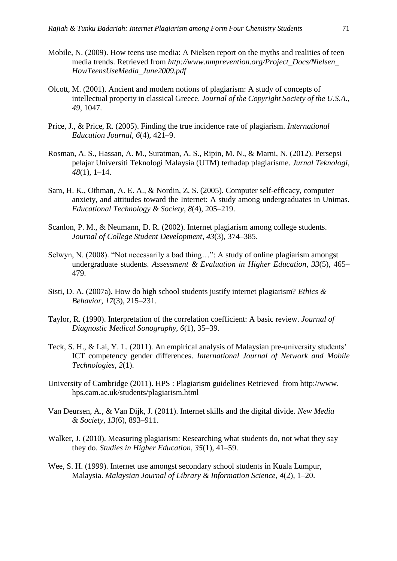- Mobile, N. (2009). How teens use media: A Nielsen report on the myths and realities of teen media trends. Retrieved from *http://www.nmprevention.org/Project\_Docs/Nielsen\_ HowTeensUseMedia\_June2009.pdf*
- Olcott, M. (2001). Ancient and modern notions of plagiarism: A study of concepts of intellectual property in classical Greece. *Journal of the Copyright Society of the U.S.A.*, *49*, 1047.
- Price, J., & Price, R. (2005). Finding the true incidence rate of plagiarism. *International Education Journal*, *6*(4), 421–9.
- Rosman, A. S., Hassan, A. M., Suratman, A. S., Ripin, M. N., & Marni, N. (2012). Persepsi pelajar Universiti Teknologi Malaysia (UTM) terhadap plagiarisme. *Jurnal Teknologi*, *48*(1), 1–14.
- Sam, H. K., Othman, A. E. A., & Nordin, Z. S. (2005). Computer self-efficacy, computer anxiety, and attitudes toward the Internet: A study among undergraduates in Unimas. *Educational Technology & Society*, *8*(4), 205–219.
- Scanlon, P. M., & Neumann, D. R. (2002). Internet plagiarism among college students. *Journal of College Student Development*, *43*(3), 374–385.
- Selwyn, N. (2008). "Not necessarily a bad thing…": A study of online plagiarism amongst undergraduate students. *Assessment & Evaluation in Higher Education*, *33*(5), 465– 479.
- Sisti, D. A. (2007a). How do high school students justify internet plagiarism? *Ethics & Behavior*, *17*(3), 215–231.
- Taylor, R. (1990). Interpretation of the correlation coefficient: A basic review. *Journal of Diagnostic Medical Sonography*, *6*(1), 35–39.
- Teck, S. H., & Lai, Y. L. (2011). An empirical analysis of Malaysian pre-university students' ICT competency gender differences. *International Journal of Network and Mobile Technologies*, *2*(1).
- University of Cambridge (2011). HPS : Plagiarism guidelines Retrieved from http://www. hps.cam.ac.uk/students/plagiarism.html
- Van Deursen, A., & Van Dijk, J. (2011). Internet skills and the digital divide. *New Media & Society*, *13*(6), 893–911.
- Walker, J. (2010). Measuring plagiarism: Researching what students do, not what they say they do. *Studies in Higher Education*, *35*(1), 41–59.
- Wee, S. H. (1999). Internet use amongst secondary school students in Kuala Lumpur, Malaysia. *Malaysian Journal of Library & Information Science*, *4*(2), 1–20.